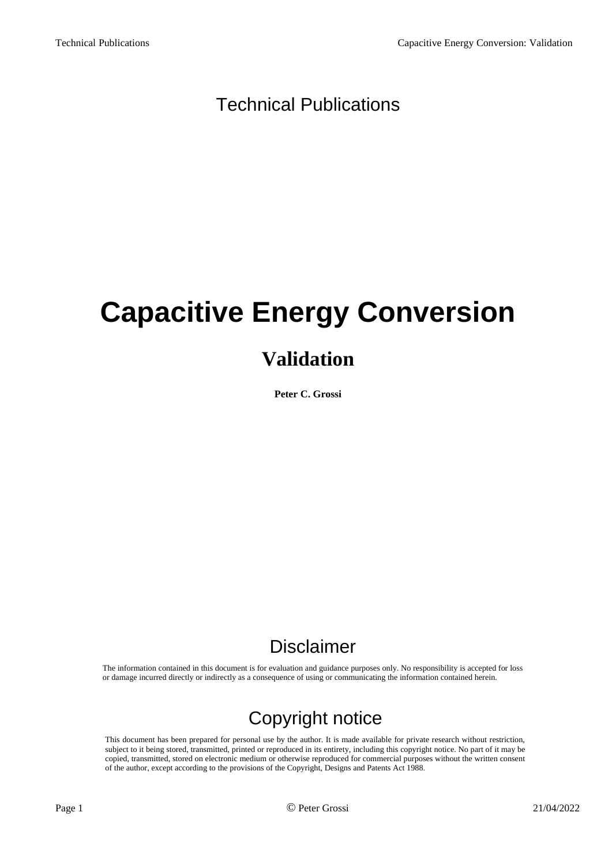#### Technical Publications

# **Capacitive Energy Conversion**

#### **Validation**

**Peter C. Grossi**

#### Disclaimer

The information contained in this document is for evaluation and guidance purposes only. No responsibility is accepted for loss or damage incurred directly or indirectly as a consequence of using or communicating the information contained herein.

### Copyright notice

This document has been prepared for personal use by the author. It is made available for private research without restriction, subject to it being stored, transmitted, printed or reproduced in its entirety, including this copyright notice. No part of it may be copied, transmitted, stored on electronic medium or otherwise reproduced for commercial purposes without the written consent of the author, except according to the provisions of the Copyright, Designs and Patents Act 1988.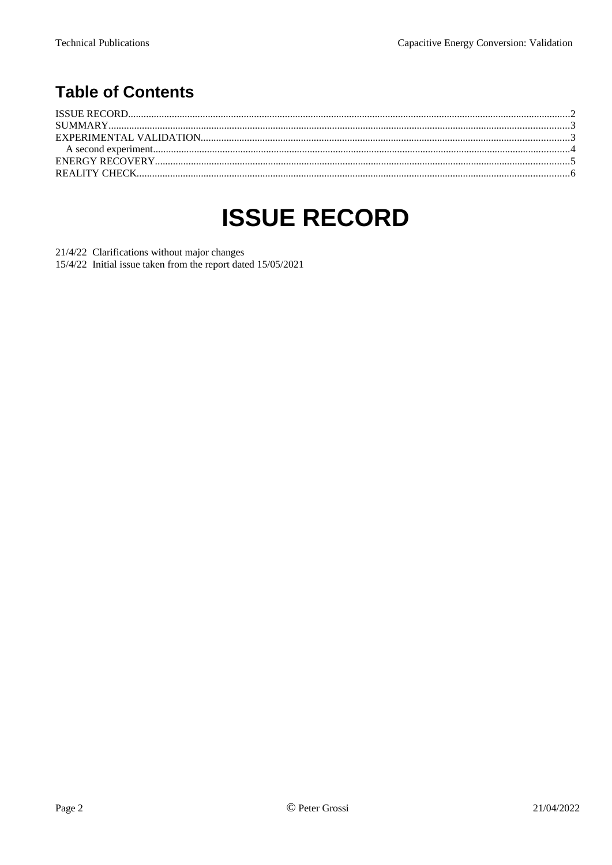#### **Table of Contents**

### <span id="page-1-0"></span>**ISSUE RECORD**

21/4/22 Clarifications without major changes

15/4/22 Initial issue taken from the report dated 15/05/2021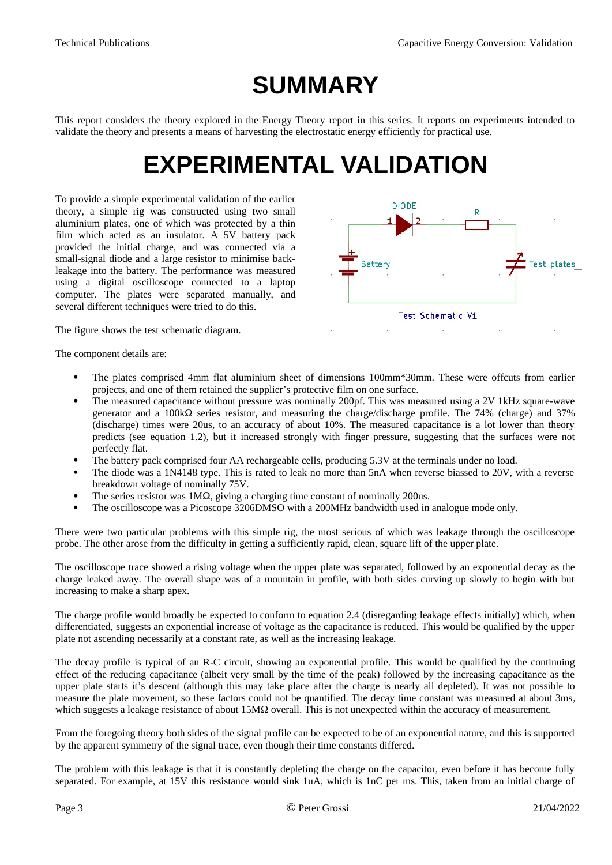### <span id="page-2-1"></span>**SUMMARY**

This report considers the theory explored in the Energy Theory report in this series. It reports on experiments intended to validate the theory and presents a means of harvesting the electrostatic energy efficiently for practical use.

### <span id="page-2-0"></span>**EXPERIMENTAL VALIDATION**

To provide a simple experimental validation of the earlier theory, a simple rig was constructed using two small aluminium plates, one of which was protected by a thin film which acted as an insulator. A 5V battery pack provided the initial charge, and was connected via a small-signal diode and a large resistor to minimise backleakage into the battery. The performance was measured using a digital oscilloscope connected to a laptop computer. The plates were separated manually, and several different techniques were tried to do this.



The figure shows the test schematic diagram.

The component details are:

- The plates comprised 4mm flat aluminium sheet of dimensions 100mm\*30mm. These were offcuts from earlier projects, and one of them retained the supplier's protective film on one surface.
- The measured capacitance without pressure was nominally 200pf. This was measured using a 2V 1kHz square-wave generator and a 100kΩ series resistor, and measuring the charge/discharge profile. The 74% (charge) and 37% (discharge) times were 20us, to an accuracy of about 10%. The measured capacitance is a lot lower than theory predicts (see equation 1.2), but it increased strongly with finger pressure, suggesting that the surfaces were not perfectly flat.
- The battery pack comprised four AA rechargeable cells, producing 5.3V at the terminals under no load.
- The diode was a 1N4148 type. This is rated to leak no more than 5nA when reverse biassed to 20V, with a reverse breakdown voltage of nominally 75V.
- The series resistor was 1MΩ, giving a charging time constant of nominally 200us.
- The oscilloscope was a Picoscope 3206DMSO with a 200MHz bandwidth used in analogue mode only.

There were two particular problems with this simple rig, the most serious of which was leakage through the oscilloscope probe. The other arose from the difficulty in getting a sufficiently rapid, clean, square lift of the upper plate.

The oscilloscope trace showed a rising voltage when the upper plate was separated, followed by an exponential decay as the charge leaked away. The overall shape was of a mountain in profile, with both sides curving up slowly to begin with but increasing to make a sharp apex.

The charge profile would broadly be expected to conform to equation 2.4 (disregarding leakage effects initially) which, when differentiated, suggests an exponential increase of voltage as the capacitance is reduced. This would be qualified by the upper plate not ascending necessarily at a constant rate, as well as the increasing leakage.

The decay profile is typical of an R-C circuit, showing an exponential profile. This would be qualified by the continuing effect of the reducing capacitance (albeit very small by the time of the peak) followed by the increasing capacitance as the upper plate starts it's descent (although this may take place after the charge is nearly all depleted). It was not possible to measure the plate movement, so these factors could not be quantified. The decay time constant was measured at about 3ms, which suggests a leakage resistance of about 15MΩ overall. This is not unexpected within the accuracy of measurement.

From the foregoing theory both sides of the signal profile can be expected to be of an exponential nature, and this is supported by the apparent symmetry of the signal trace, even though their time constants differed.

The problem with this leakage is that it is constantly depleting the charge on the capacitor, even before it has become fully separated. For example, at 15V this resistance would sink 1uA, which is 1nC per ms. This, taken from an initial charge of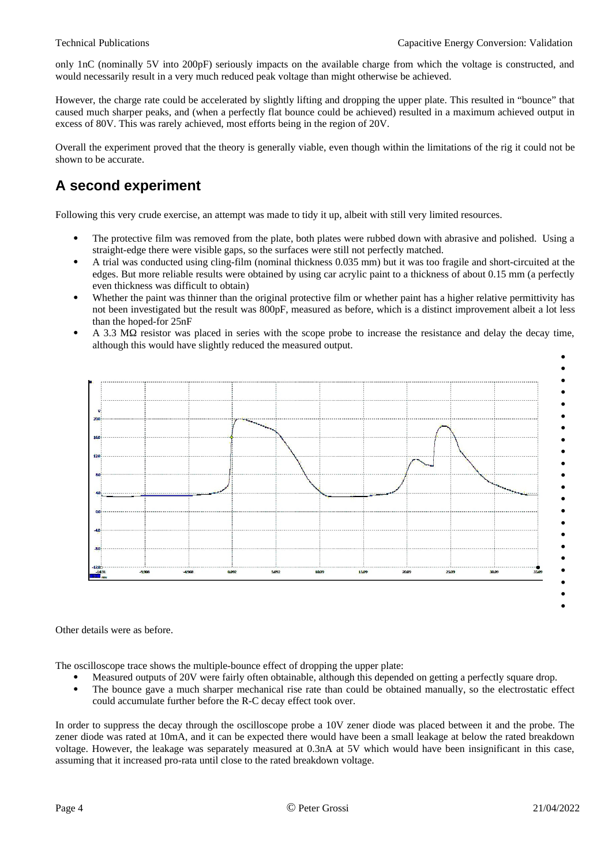only 1nC (nominally 5V into 200pF) seriously impacts on the available charge from which the voltage is constructed, and would necessarily result in a very much reduced peak voltage than might otherwise be achieved.

However, the charge rate could be accelerated by slightly lifting and dropping the upper plate. This resulted in "bounce" that caused much sharper peaks, and (when a perfectly flat bounce could be achieved) resulted in a maximum achieved output in excess of 80V. This was rarely achieved, most efforts being in the region of 20V.

Overall the experiment proved that the theory is generally viable, even though within the limitations of the rig it could not be shown to be accurate.

#### <span id="page-3-0"></span>**A second experiment**

Following this very crude exercise, an attempt was made to tidy it up, albeit with still very limited resources.

- The protective film was removed from the plate, both plates were rubbed down with abrasive and polished. Using a straight-edge there were visible gaps, so the surfaces were still not perfectly matched.
- A trial was conducted using cling-film (nominal thickness 0.035 mm) but it was too fragile and short-circuited at the edges. But more reliable results were obtained by using car acrylic paint to a thickness of about 0.15 mm (a perfectly even thickness was difficult to obtain)
- Whether the paint was thinner than the original protective film or whether paint has a higher relative permittivity has not been investigated but the result was 800pF, measured as before, which is a distinct improvement albeit a lot less than the hoped-for 25nF
- A 3.3 MΩ resistor was placed in series with the scope probe to increase the resistance and delay the decay time, although this would have slightly reduced the measured output.



Other details were as before.

The oscilloscope trace shows the multiple-bounce effect of dropping the upper plate:

- Measured outputs of 20V were fairly often obtainable, although this depended on getting a perfectly square drop.
- The bounce gave a much sharper mechanical rise rate than could be obtained manually, so the electrostatic effect could accumulate further before the R-C decay effect took over.

In order to suppress the decay through the oscilloscope probe a 10V zener diode was placed between it and the probe. The zener diode was rated at 10mA, and it can be expected there would have been a small leakage at below the rated breakdown voltage. However, the leakage was separately measured at 0.3nA at 5V which would have been insignificant in this case, assuming that it increased pro-rata until close to the rated breakdown voltage.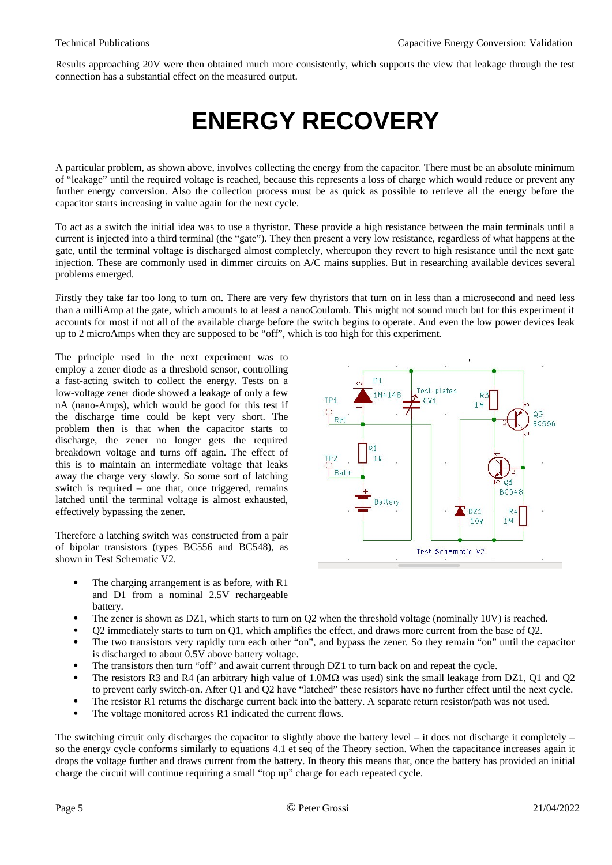Results approaching 20V were then obtained much more consistently, which supports the view that leakage through the test connection has a substantial effect on the measured output.

## <span id="page-4-0"></span>**ENERGY RECOVERY**

A particular problem, as shown above, involves collecting the energy from the capacitor. There must be an absolute minimum of "leakage" until the required voltage is reached, because this represents a loss of charge which would reduce or prevent any further energy conversion. Also the collection process must be as quick as possible to retrieve all the energy before the capacitor starts increasing in value again for the next cycle.

To act as a switch the initial idea was to use a thyristor. These provide a high resistance between the main terminals until a current is injected into a third terminal (the "gate"). They then present a very low resistance, regardless of what happens at the gate, until the terminal voltage is discharged almost completely, whereupon they revert to high resistance until the next gate injection. These are commonly used in dimmer circuits on A/C mains supplies. But in researching available devices several problems emerged.

Firstly they take far too long to turn on. There are very few thyristors that turn on in less than a microsecond and need less than a milliAmp at the gate, which amounts to at least a nanoCoulomb. This might not sound much but for this experiment it accounts for most if not all of the available charge before the switch begins to operate. And even the low power devices leak up to 2 microAmps when they are supposed to be "off", which is too high for this experiment.

The principle used in the next experiment was to employ a zener diode as a threshold sensor, controlling a fast-acting switch to collect the energy. Tests on a low-voltage zener diode showed a leakage of only a few nA (nano-Amps), which would be good for this test if the discharge time could be kept very short. The problem then is that when the capacitor starts to discharge, the zener no longer gets the required breakdown voltage and turns off again. The effect of this is to maintain an intermediate voltage that leaks away the charge very slowly. So some sort of latching switch is required – one that, once triggered, remains latched until the terminal voltage is almost exhausted, effectively bypassing the zener.

Therefore a latching switch was constructed from a pair of bipolar transistors (types BC556 and BC548), as shown in Test Schematic V2.

- The charging arrangement is as before, with R1 and D1 from a nominal 2.5V rechargeable battery.
- The zener is shown as DZ1, which starts to turn on Q2 when the threshold voltage (nominally 10V) is reached.
- Q2 immediately starts to turn on Q1, which amplifies the effect, and draws more current from the base of Q2.
- The two transistors very rapidly turn each other "on", and bypass the zener. So they remain "on" until the capacitor is discharged to about 0.5V above battery voltage.
- The transistors then turn "off" and await current through DZ1 to turn back on and repeat the cycle.
- The resistors R3 and R4 (an arbitrary high value of 1.0MΩ was used) sink the small leakage from DZ1, Q1 and Q2 to prevent early switch-on. After Q1 and Q2 have "latched" these resistors have no further effect until the next cycle.
- The resistor R1 returns the discharge current back into the battery. A separate return resistor/path was not used.
- The voltage monitored across R1 indicated the current flows.

The switching circuit only discharges the capacitor to slightly above the battery level – it does not discharge it completely – so the energy cycle conforms similarly to equations 4.1 et seq of the Theory section. When the capacitance increases again it drops the voltage further and draws current from the battery. In theory this means that, once the battery has provided an initial charge the circuit will continue requiring a small "top up" charge for each repeated cycle.

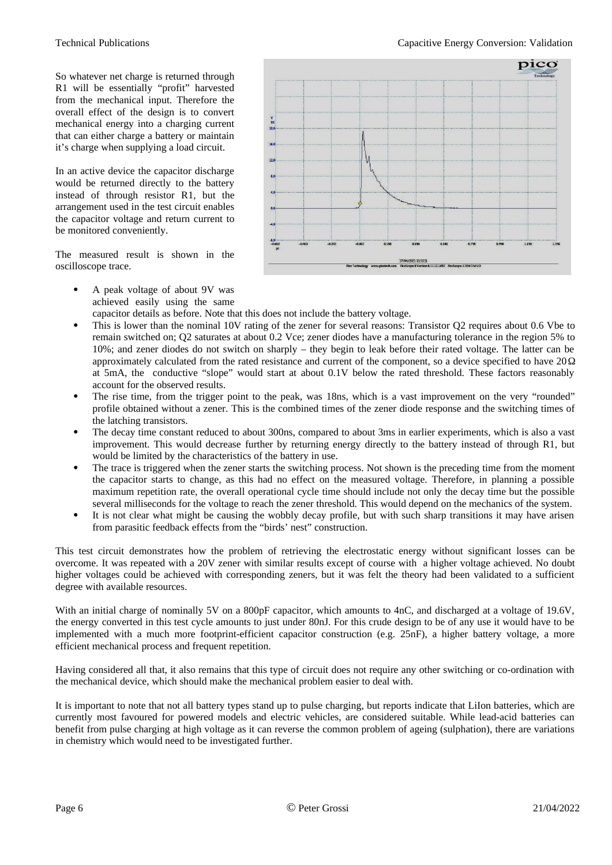So whatever net charge is returned through R1 will be essentially "profit" harvested from the mechanical input. Therefore the overall effect of the design is to convert mechanical energy into a charging current that can either charge a battery or maintain it's charge when supplying a load circuit.

In an active device the capacitor discharge would be returned directly to the battery instead of through resistor R1, but the arrangement used in the test circuit enables the capacitor voltage and return current to be monitored conveniently.

The measured result is shown in the oscilloscope trace.

- pico  $\frac{v}{20.0}$  $\frac{16}{16}$ J,  $\overline{12}$  $\lambda$ .<br>Al  $-8.0^{1}$ <br> $-0.60^{1}$ 17/04/2021 11-5511<br>
Pico Technology www.picotech.com PicoScope 6 Version 6.11.12.1692 PicoScope 3206D MSO
- A peak voltage of about 9V was achieved easily using the same

capacitor details as before. Note that this does not include the battery voltage.

- This is lower than the nominal 10V rating of the zener for several reasons: Transistor Q2 requires about 0.6 Vbe to remain switched on; Q2 saturates at about 0.2 Vce; zener diodes have a manufacturing tolerance in the region 5% to 10%; and zener diodes do not switch on sharply – they begin to leak before their rated voltage. The latter can be approximately calculated from the rated resistance and current of the component, so a device specified to have  $20\Omega$ at 5mA, the conductive "slope" would start at about 0.1V below the rated threshold. These factors reasonably account for the observed results.
- The rise time, from the trigger point to the peak, was 18ns, which is a vast improvement on the very "rounded" profile obtained without a zener. This is the combined times of the zener diode response and the switching times of the latching transistors.
- The decay time constant reduced to about 300ns, compared to about 3ms in earlier experiments, which is also a vast improvement. This would decrease further by returning energy directly to the battery instead of through R1, but would be limited by the characteristics of the battery in use.
- The trace is triggered when the zener starts the switching process. Not shown is the preceding time from the moment the capacitor starts to change, as this had no effect on the measured voltage. Therefore, in planning a possible maximum repetition rate, the overall operational cycle time should include not only the decay time but the possible several milliseconds for the voltage to reach the zener threshold. This would depend on the mechanics of the system.
- It is not clear what might be causing the wobbly decay profile, but with such sharp transitions it may have arisen from parasitic feedback effects from the "birds' nest" construction.

This test circuit demonstrates how the problem of retrieving the electrostatic energy without significant losses can be overcome. It was repeated with a 20V zener with similar results except of course with a higher voltage achieved. No doubt higher voltages could be achieved with corresponding zeners, but it was felt the theory had been validated to a sufficient degree with available resources.

With an initial charge of nominally 5V on a 800pF capacitor, which amounts to 4nC, and discharged at a voltage of 19.6V, the energy converted in this test cycle amounts to just under 80nJ. For this crude design to be of any use it would have to be implemented with a much more footprint-efficient capacitor construction (e.g. 25nF), a higher battery voltage, a more efficient mechanical process and frequent repetition.

Having considered all that, it also remains that this type of circuit does not require any other switching or co-ordination with the mechanical device, which should make the mechanical problem easier to deal with.

It is important to note that not all battery types stand up to pulse charging, but reports indicate that LiIon batteries, which are currently most favoured for powered models and electric vehicles, are considered suitable. While lead-acid batteries can benefit from pulse charging at high voltage as it can reverse the common problem of ageing (sulphation), there are variations in chemistry which would need to be investigated further.